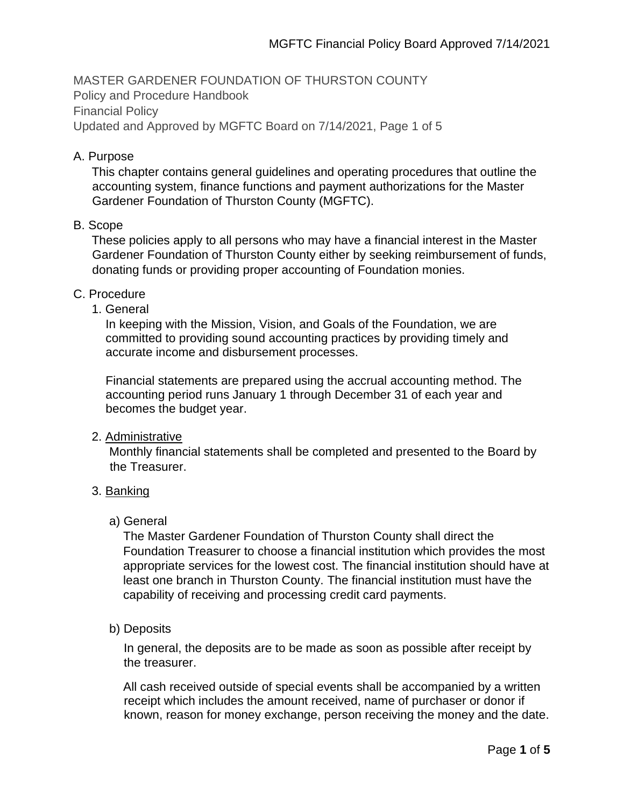MASTER GARDENER FOUNDATION OF THURSTON COUNTY Policy and Procedure Handbook Financial Policy Updated and Approved by MGFTC Board on 7/14/2021, Page 1 of 5

## A. Purpose

This chapter contains general guidelines and operating procedures that outline the accounting system, finance functions and payment authorizations for the Master Gardener Foundation of Thurston County (MGFTC).

## B. Scope

These policies apply to all persons who may have a financial interest in the Master Gardener Foundation of Thurston County either by seeking reimbursement of funds, donating funds or providing proper accounting of Foundation monies.

## C. Procedure

1. General

In keeping with the Mission, Vision, and Goals of the Foundation, we are committed to providing sound accounting practices by providing timely and accurate income and disbursement processes.

Financial statements are prepared using the accrual accounting method. The accounting period runs January 1 through December 31 of each year and becomes the budget year.

#### 2. Administrative

Monthly financial statements shall be completed and presented to the Board by the Treasurer.

# 3. Banking

# a) General

The Master Gardener Foundation of Thurston County shall direct the Foundation Treasurer to choose a financial institution which provides the most appropriate services for the lowest cost. The financial institution should have at least one branch in Thurston County. The financial institution must have the capability of receiving and processing credit card payments.

# b) Deposits

In general, the deposits are to be made as soon as possible after receipt by the treasurer.

All cash received outside of special events shall be accompanied by a written receipt which includes the amount received, name of purchaser or donor if known, reason for money exchange, person receiving the money and the date.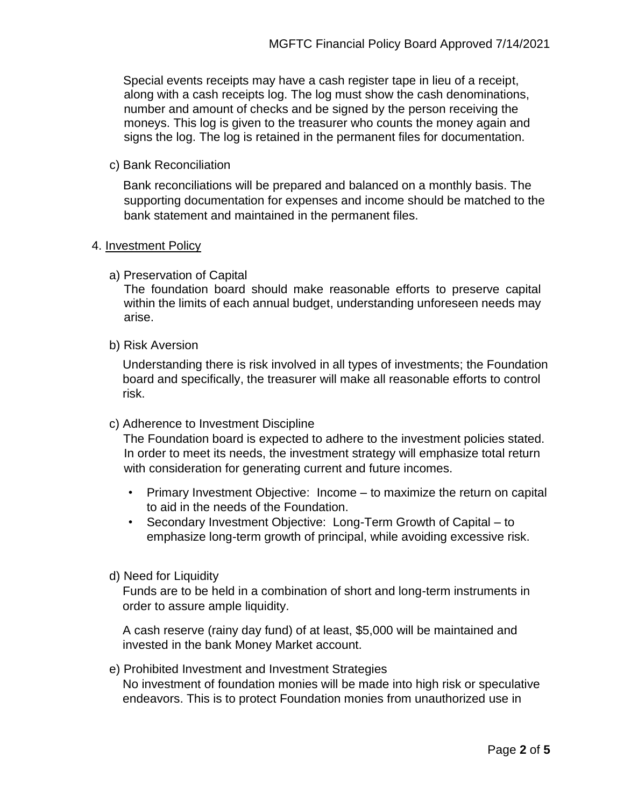Special events receipts may have a cash register tape in lieu of a receipt, along with a cash receipts log. The log must show the cash denominations, number and amount of checks and be signed by the person receiving the moneys. This log is given to the treasurer who counts the money again and signs the log. The log is retained in the permanent files for documentation.

c) Bank Reconciliation

Bank reconciliations will be prepared and balanced on a monthly basis. The supporting documentation for expenses and income should be matched to the bank statement and maintained in the permanent files.

## 4. Investment Policy

a) Preservation of Capital

The foundation board should make reasonable efforts to preserve capital within the limits of each annual budget, understanding unforeseen needs may arise.

b) Risk Aversion

Understanding there is risk involved in all types of investments; the Foundation board and specifically, the treasurer will make all reasonable efforts to control risk.

c) Adherence to Investment Discipline

The Foundation board is expected to adhere to the investment policies stated. In order to meet its needs, the investment strategy will emphasize total return with consideration for generating current and future incomes.

- Primary Investment Objective: Income to maximize the return on capital to aid in the needs of the Foundation.
- Secondary Investment Objective: Long-Term Growth of Capital to emphasize long-term growth of principal, while avoiding excessive risk.
- d) Need for Liquidity

Funds are to be held in a combination of short and long-term instruments in order to assure ample liquidity.

A cash reserve (rainy day fund) of at least, \$5,000 will be maintained and invested in the bank Money Market account.

e) Prohibited Investment and Investment Strategies No investment of foundation monies will be made into high risk or speculative endeavors. This is to protect Foundation monies from unauthorized use in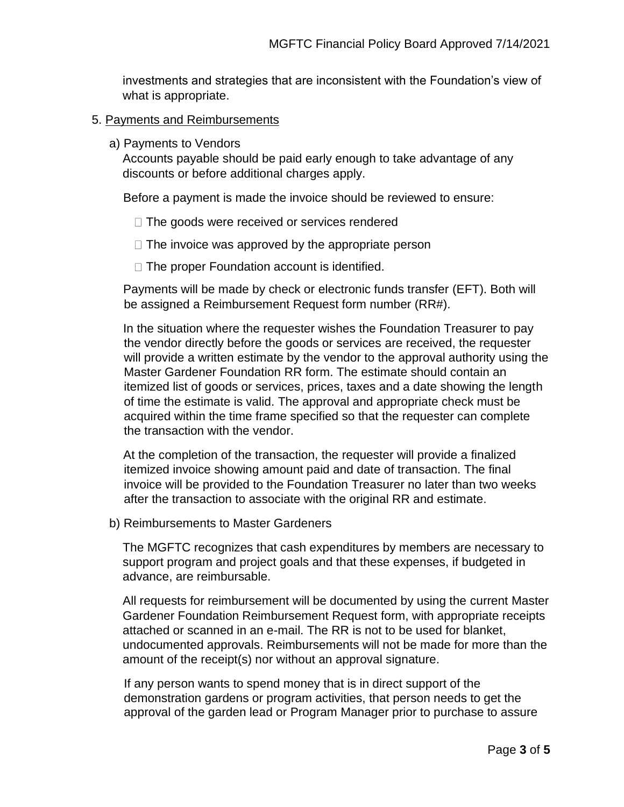investments and strategies that are inconsistent with the Foundation's view of what is appropriate.

# 5. Payments and Reimbursements

a) Payments to Vendors

Accounts payable should be paid early enough to take advantage of any discounts or before additional charges apply.

Before a payment is made the invoice should be reviewed to ensure:

- $\Box$  The goods were received or services rendered
- $\Box$  The invoice was approved by the appropriate person
- $\Box$  The proper Foundation account is identified.

Payments will be made by check or electronic funds transfer (EFT). Both will be assigned a Reimbursement Request form number (RR#).

In the situation where the requester wishes the Foundation Treasurer to pay the vendor directly before the goods or services are received, the requester will provide a written estimate by the vendor to the approval authority using the Master Gardener Foundation RR form. The estimate should contain an itemized list of goods or services, prices, taxes and a date showing the length of time the estimate is valid. The approval and appropriate check must be acquired within the time frame specified so that the requester can complete the transaction with the vendor.

At the completion of the transaction, the requester will provide a finalized itemized invoice showing amount paid and date of transaction. The final invoice will be provided to the Foundation Treasurer no later than two weeks after the transaction to associate with the original RR and estimate.

b) Reimbursements to Master Gardeners

The MGFTC recognizes that cash expenditures by members are necessary to support program and project goals and that these expenses, if budgeted in advance, are reimbursable.

All requests for reimbursement will be documented by using the current Master Gardener Foundation Reimbursement Request form, with appropriate receipts attached or scanned in an e-mail. The RR is not to be used for blanket, undocumented approvals. Reimbursements will not be made for more than the amount of the receipt(s) nor without an approval signature.

If any person wants to spend money that is in direct support of the demonstration gardens or program activities, that person needs to get the approval of the garden lead or Program Manager prior to purchase to assure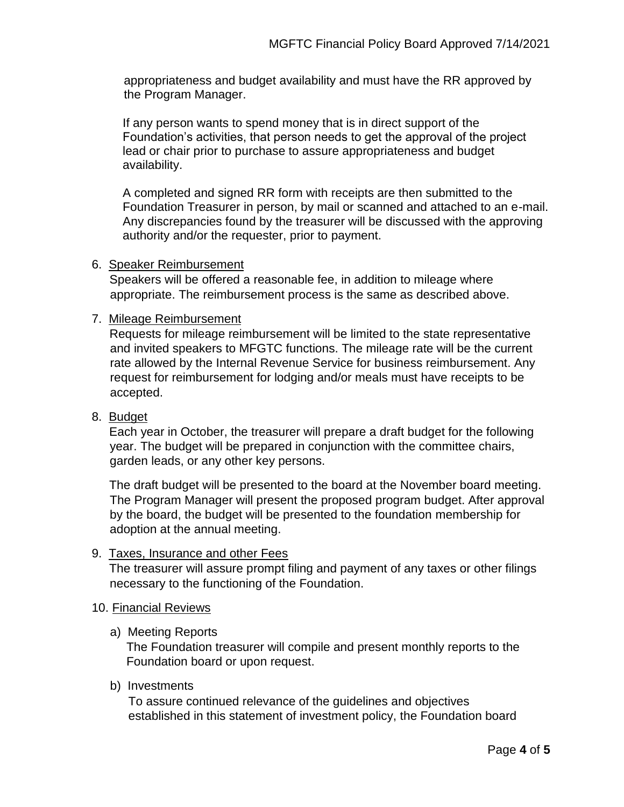appropriateness and budget availability and must have the RR approved by the Program Manager.

If any person wants to spend money that is in direct support of the Foundation's activities, that person needs to get the approval of the project lead or chair prior to purchase to assure appropriateness and budget availability.

A completed and signed RR form with receipts are then submitted to the Foundation Treasurer in person, by mail or scanned and attached to an e-mail. Any discrepancies found by the treasurer will be discussed with the approving authority and/or the requester, prior to payment.

## 6. Speaker Reimbursement

Speakers will be offered a reasonable fee, in addition to mileage where appropriate. The reimbursement process is the same as described above.

## 7. Mileage Reimbursement

Requests for mileage reimbursement will be limited to the state representative and invited speakers to MFGTC functions. The mileage rate will be the current rate allowed by the Internal Revenue Service for business reimbursement. Any request for reimbursement for lodging and/or meals must have receipts to be accepted.

# 8. Budget

Each year in October, the treasurer will prepare a draft budget for the following year. The budget will be prepared in conjunction with the committee chairs, garden leads, or any other key persons.

The draft budget will be presented to the board at the November board meeting. The Program Manager will present the proposed program budget. After approval by the board, the budget will be presented to the foundation membership for adoption at the annual meeting.

#### 9. Taxes, Insurance and other Fees

The treasurer will assure prompt filing and payment of any taxes or other filings necessary to the functioning of the Foundation.

#### 10. Financial Reviews

a) Meeting Reports

The Foundation treasurer will compile and present monthly reports to the Foundation board or upon request.

#### b) Investments

To assure continued relevance of the guidelines and objectives established in this statement of investment policy, the Foundation board